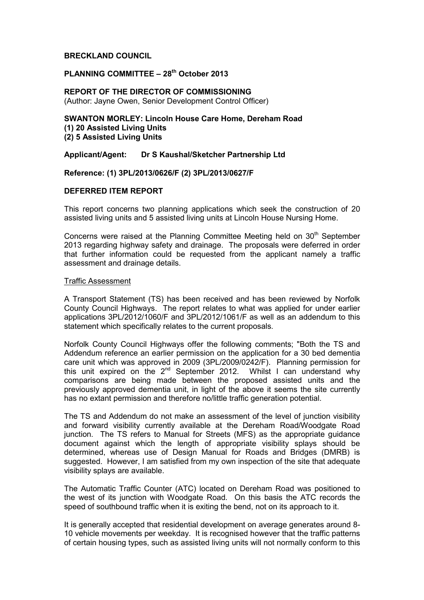# **BRECKLAND COUNCIL**

# **PLANNING COMMITTEE – 28th October 2013**

# **REPORT OF THE DIRECTOR OF COMMISSIONING**  (Author: Jayne Owen, Senior Development Control Officer)

# **SWANTON MORLEY: Lincoln House Care Home, Dereham Road (1) 20 Assisted Living Units (2) 5 Assisted Living Units**

# **Applicant/Agent: Dr S Kaushal/Sketcher Partnership Ltd**

# **Reference: (1) 3PL/2013/0626/F (2) 3PL/2013/0627/F**

# **DEFERRED ITEM REPORT**

This report concerns two planning applications which seek the construction of 20 assisted living units and 5 assisted living units at Lincoln House Nursing Home.

Concerns were raised at the Planning Committee Meeting held on 30<sup>th</sup> September 2013 regarding highway safety and drainage. The proposals were deferred in order that further information could be requested from the applicant namely a traffic assessment and drainage details.

#### Traffic Assessment

A Transport Statement (TS) has been received and has been reviewed by Norfolk County Council Highways. The report relates to what was applied for under earlier applications 3PL/2012/1060/F and 3PL/2012/1061/F as well as an addendum to this statement which specifically relates to the current proposals.

Norfolk County Council Highways offer the following comments; "Both the TS and Addendum reference an earlier permission on the application for a 30 bed dementia care unit which was approved in 2009 (3PL/2009/0242/F). Planning permission for this unit expired on the  $2^{nd}$  September 2012. Whilst I can understand why comparisons are being made between the proposed assisted units and the previously approved dementia unit, in light of the above it seems the site currently has no extant permission and therefore no/little traffic generation potential.

The TS and Addendum do not make an assessment of the level of junction visibility and forward visibility currently available at the Dereham Road/Woodgate Road junction. The TS refers to Manual for Streets (MFS) as the appropriate guidance document against which the length of appropriate visibility splays should be determined, whereas use of Design Manual for Roads and Bridges (DMRB) is suggested. However, I am satisfied from my own inspection of the site that adequate visibility splays are available.

The Automatic Traffic Counter (ATC) located on Dereham Road was positioned to the west of its junction with Woodgate Road. On this basis the ATC records the speed of southbound traffic when it is exiting the bend, not on its approach to it.

It is generally accepted that residential development on average generates around 8- 10 vehicle movements per weekday. It is recognised however that the traffic patterns of certain housing types, such as assisted living units will not normally conform to this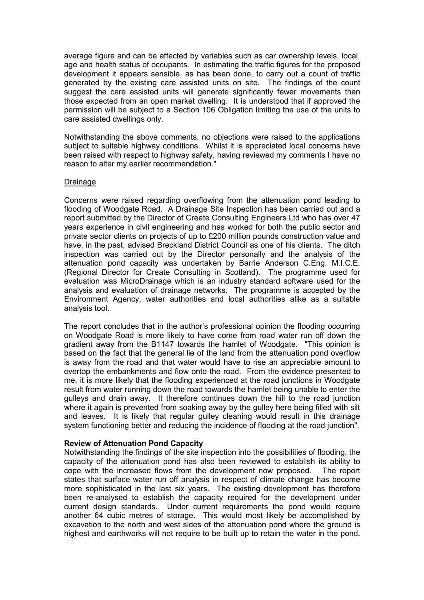average figure and can be affected by variables such as car ownership levels, local, age and health status of occupants. In estimating the traffic figures for the proposed development it appears sensible, as has been done, to carry out a count of traffic generated by the existing care assisted units on site. The findings of the count suggest the care assisted units will generate significantly fewer movements than those expected from an open market dwelling. It is understood that if approved the permission will be subject to a Section 106 Obligation limiting the use of the units to care assisted dwellings only.

Notwithstanding the above comments, no objections were raised to the applications subject to suitable highway conditions. Whilst it is appreciated local concerns have been raised with respect to highway safety, having reviewed my comments I have no reason to alter my earlier recommendation."

### Drainage

Concerns were raised regarding overflowing from the attenuation pond leading to flooding of Woodgate Road. A Drainage Site Inspection has been carried out and a report submitted by the Director of Create Consulting Engineers Ltd who has over 47 years experience in civil engineering and has worked for both the public sector and private sector clients on projects of up to £200 million pounds construction value and have, in the past, advised Breckland District Council as one of his clients. The ditch inspection was carried out by the Director personally and the analysis of the attenuation pond capacity was undertaken by Barrie Anderson C.Eng. M.I.C.E. (Regional Director for Create Consulting in Scotland). The programme used for evaluation was MicroDrainage which is an industry standard software used for the analysis and evaluation of drainage networks. The programme is accepted by the Environment Agency, water authorities and local authorities alike as a suitable analysis tool.

The report concludes that in the author's professional opinion the flooding occurring on Woodgate Road is more likely to have come from road water run off down the gradient away from the B1147 towards the hamlet of Woodgate. "This opinion is based on the fact that the general lie of the land from the attenuation pond overflow is away from the road and that water would have to rise an appreciable amount to overtop the embankments and flow onto the road. From the evidence presented to me, it is more likely that the flooding experienced at the road junctions in Woodgate result from water running down the road towards the hamlet being unable to enter the gulleys and drain away. It therefore continues down the hill to the road junction where it again is prevented from soaking away by the gulley here being filled with silt and leaves. It is likely that regular gulley cleaning would result in this drainage system functioning better and reducing the incidence of flooding at the road junction".

### **Review of Attenuation Pond Capacity**

Notwithstanding the findings of the site inspection into the possibilities of flooding, the capacity of the attenuation pond has also been reviewed to establish its ability to cope with the increased flows from the development now proposed. The report states that surface water run off analysis in respect of climate change has become more sophisticated in the last six years. The existing development has therefore been re-analysed to establish the capacity required for the development under current design standards. Under current requirements the pond would require another 64 cubic metres of storage. This would most likely be accomplished by excavation to the north and west sides of the attenuation pond where the ground is highest and earthworks will not require to be built up to retain the water in the pond.